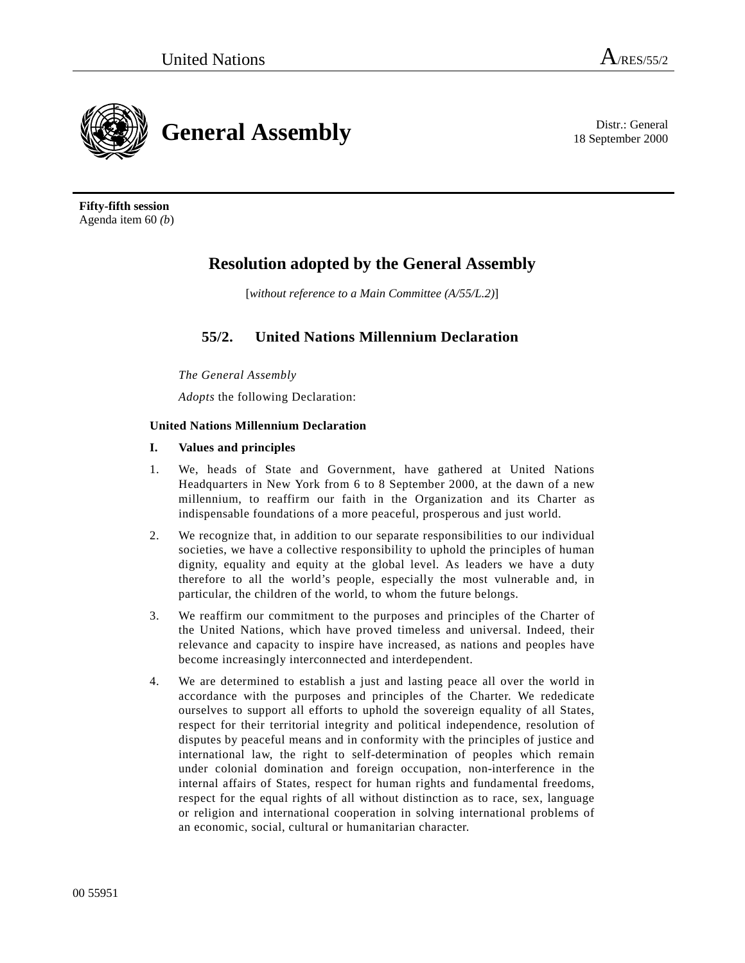

18 September 2000

**Fifty-fifth session** Agenda item 60 *(b*)

# **Resolution adopted by the General Assembly**

[*without reference to a Main Committee (A/55/L.2)*]

# **55/2. United Nations Millennium Declaration**

*The General Assembly*

*Adopts* the following Declaration:

# **United Nations Millennium Declaration**

# **I. Values and principles**

- 1. We, heads of State and Government, have gathered at United Nations Headquarters in New York from 6 to 8 September 2000, at the dawn of a new millennium, to reaffirm our faith in the Organization and its Charter as indispensable foundations of a more peaceful, prosperous and just world.
- 2. We recognize that, in addition to our separate responsibilities to our individual societies, we have a collective responsibility to uphold the principles of human dignity, equality and equity at the global level. As leaders we have a duty therefore to all the world's people, especially the most vulnerable and, in particular, the children of the world, to whom the future belongs.
- 3. We reaffirm our commitment to the purposes and principles of the Charter of the United Nations, which have proved timeless and universal. Indeed, their relevance and capacity to inspire have increased, as nations and peoples have become increasingly interconnected and interdependent.
- 4. We are determined to establish a just and lasting peace all over the world in accordance with the purposes and principles of the Charter. We rededicate ourselves to support all efforts to uphold the sovereign equality of all States, respect for their territorial integrity and political independence, resolution of disputes by peaceful means and in conformity with the principles of justice and international law, the right to self-determination of peoples which remain under colonial domination and foreign occupation, non-interference in the internal affairs of States, respect for human rights and fundamental freedoms, respect for the equal rights of all without distinction as to race, sex, language or religion and international cooperation in solving international problems of an economic, social, cultural or humanitarian character.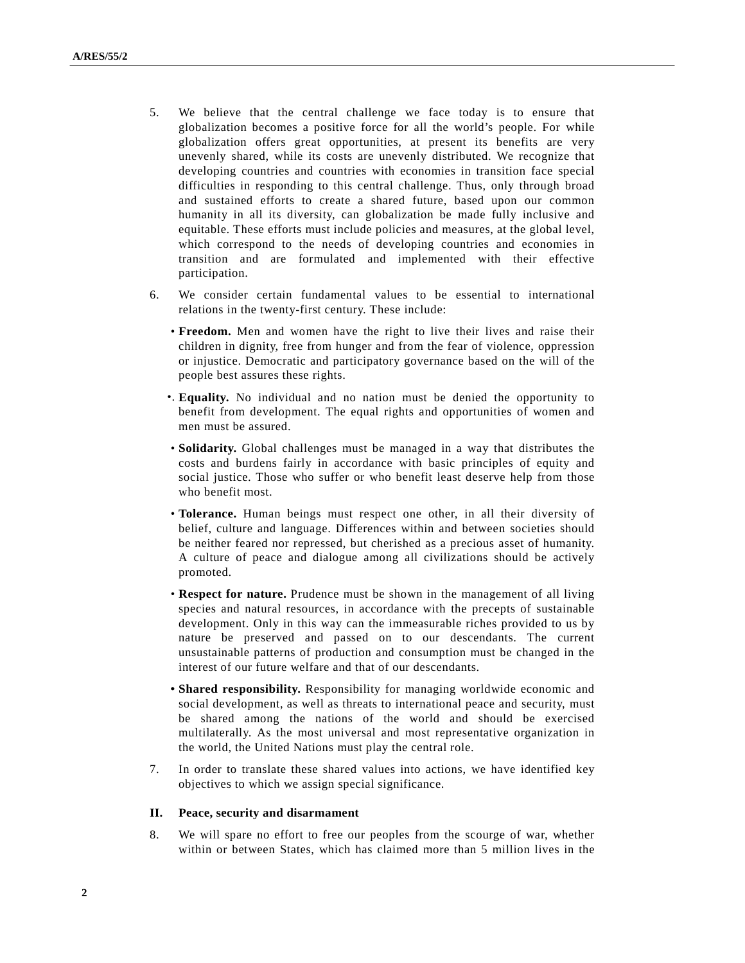- 5. We believe that the central challenge we face today is to ensure that globalization becomes a positive force for all the world's people. For while globalization offers great opportunities, at present its benefits are very unevenly shared, while its costs are unevenly distributed. We recognize that developing countries and countries with economies in transition face special difficulties in responding to this central challenge. Thus, only through broad and sustained efforts to create a shared future, based upon our common humanity in all its diversity, can globalization be made fully inclusive and equitable. These efforts must include policies and measures, at the global level, which correspond to the needs of developing countries and economies in transition and are formulated and implemented with their effective participation.
- 6. We consider certain fundamental values to be essential to international relations in the twenty-first century. These include:
	- **Freedom.** Men and women have the right to live their lives and raise their children in dignity, free from hunger and from the fear of violence, oppression or injustice. Democratic and participatory governance based on the will of the people best assures these rights.
	- •. **Equality.** No individual and no nation must be denied the opportunity to benefit from development. The equal rights and opportunities of women and men must be assured.
	- **Solidarity.** Global challenges must be managed in a way that distributes the costs and burdens fairly in accordance with basic principles of equity and social justice. Those who suffer or who benefit least deserve help from those who benefit most.
	- **Tolerance.** Human beings must respect one other, in all their diversity of belief, culture and language. Differences within and between societies should be neither feared nor repressed, but cherished as a precious asset of humanity. A culture of peace and dialogue among all civilizations should be actively promoted.
	- **Respect for nature.** Prudence must be shown in the management of all living species and natural resources, in accordance with the precepts of sustainable development. Only in this way can the immeasurable riches provided to us by nature be preserved and passed on to our descendants. The current unsustainable patterns of production and consumption must be changed in the interest of our future welfare and that of our descendants.
	- **Shared responsibility.** Responsibility for managing worldwide economic and social development, as well as threats to international peace and security, must be shared among the nations of the world and should be exercised multilaterally. As the most universal and most representative organization in the world, the United Nations must play the central role.
- 7. In order to translate these shared values into actions, we have identified key objectives to which we assign special significance.

#### **II. Peace, security and disarmament**

8. We will spare no effort to free our peoples from the scourge of war, whether within or between States, which has claimed more than 5 million lives in the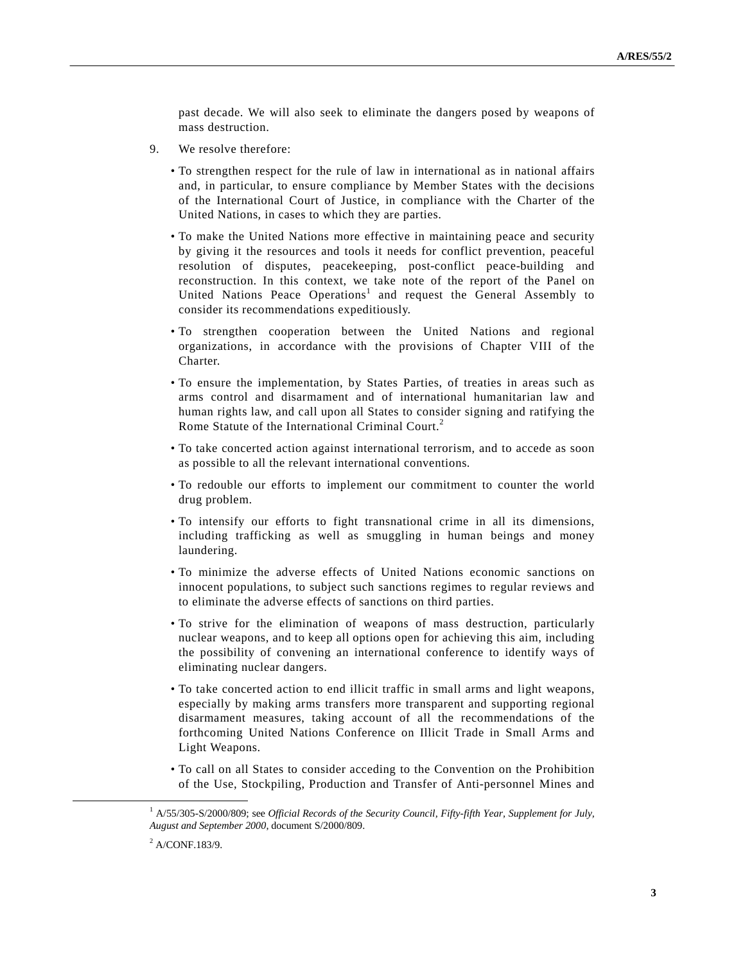past decade. We will also seek to eliminate the dangers posed by weapons of mass destruction.

- 9. We resolve therefore:
	- To strengthen respect for the rule of law in international as in national affairs and, in particular, to ensure compliance by Member States with the decisions of the International Court of Justice, in compliance with the Charter of the United Nations, in cases to which they are parties.
	- To make the United Nations more effective in maintaining peace and security by giving it the resources and tools it needs for conflict prevention, peaceful resolution of disputes, peacekeeping, post-conflict peace-building and reconstruction. In this context, we take note of the report of the Panel on United Nations Peace Operations<sup>1</sup> and request the General Assembly to consider its recommendations expeditiously.
	- To strengthen cooperation between the United Nations and regional organizations, in accordance with the provisions of Chapter VIII of the Charter.
	- To ensure the implementation, by States Parties, of treaties in areas such as arms control and disarmament and of international humanitarian law and human rights law, and call upon all States to consider signing and ratifying the Rome Statute of the International Criminal Court.<sup>2</sup>
	- To take concerted action against international terrorism, and to accede as soon as possible to all the relevant international conventions.
	- To redouble our efforts to implement our commitment to counter the world drug problem.
	- To intensify our efforts to fight transnational crime in all its dimensions, including trafficking as well as smuggling in human beings and money laundering.
	- To minimize the adverse effects of United Nations economic sanctions on innocent populations, to subject such sanctions regimes to regular reviews and to eliminate the adverse effects of sanctions on third parties.
	- To strive for the elimination of weapons of mass destruction, particularly nuclear weapons, and to keep all options open for achieving this aim, including the possibility of convening an international conference to identify ways of eliminating nuclear dangers.
	- To take concerted action to end illicit traffic in small arms and light weapons, especially by making arms transfers more transparent and supporting regional disarmament measures, taking account of all the recommendations of the forthcoming United Nations Conference on Illicit Trade in Small Arms and Light Weapons.
	- To call on all States to consider acceding to the Convention on the Prohibition of the Use, Stockpiling, Production and Transfer of Anti-personnel Mines and

<sup>&</sup>lt;u>1</u> A/55/305-S/2000/809; see *Official Records of the Security Council, Fifty-fifth Year, Supplement for July, August and September 2000*, document S/2000/809.

 $^{2}$  A/CONF.183/9.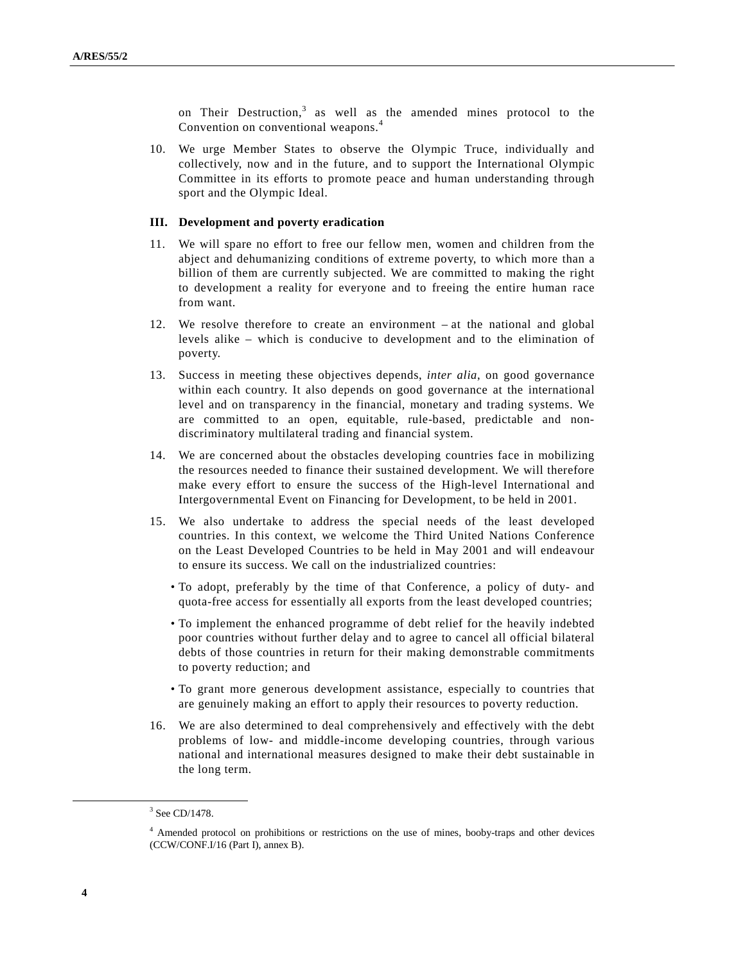on Their Destruction,<sup>3</sup> as well as the amended mines protocol to the Convention on conventional weapons.<sup>4</sup>

10. We urge Member States to observe the Olympic Truce, individually and collectively, now and in the future, and to support the International Olympic Committee in its efforts to promote peace and human understanding through sport and the Olympic Ideal.

#### **III. Development and poverty eradication**

- 11. We will spare no effort to free our fellow men, women and children from the abject and dehumanizing conditions of extreme poverty, to which more than a billion of them are currently subjected. We are committed to making the right to development a reality for everyone and to freeing the entire human race from want.
- 12. We resolve therefore to create an environment at the national and global levels alike – which is conducive to development and to the elimination of poverty.
- 13. Success in meeting these objectives depends, *inter alia*, on good governance within each country. It also depends on good governance at the international level and on transparency in the financial, monetary and trading systems. We are committed to an open, equitable, rule-based, predictable and nondiscriminatory multilateral trading and financial system.
- 14. We are concerned about the obstacles developing countries face in mobilizing the resources needed to finance their sustained development. We will therefore make every effort to ensure the success of the High-level International and Intergovernmental Event on Financing for Development, to be held in 2001.
- 15. We also undertake to address the special needs of the least developed countries. In this context, we welcome the Third United Nations Conference on the Least Developed Countries to be held in May 2001 and will endeavour to ensure its success. We call on the industrialized countries:
	- To adopt, preferably by the time of that Conference, a policy of duty- and quota-free access for essentially all exports from the least developed countries;
	- To implement the enhanced programme of debt relief for the heavily indebted poor countries without further delay and to agree to cancel all official bilateral debts of those countries in return for their making demonstrable commitments to poverty reduction; and
	- To grant more generous development assistance, especially to countries that are genuinely making an effort to apply their resources to poverty reduction.
- 16. We are also determined to deal comprehensively and effectively with the debt problems of low- and middle-income developing countries, through various national and international measures designed to make their debt sustainable in the long term.

 <sup>3</sup>  $3$  See CD/1478.

<sup>4</sup> Amended protocol on prohibitions or restrictions on the use of mines, booby-traps and other devices (CCW/CONF.I/16 (Part I), annex B).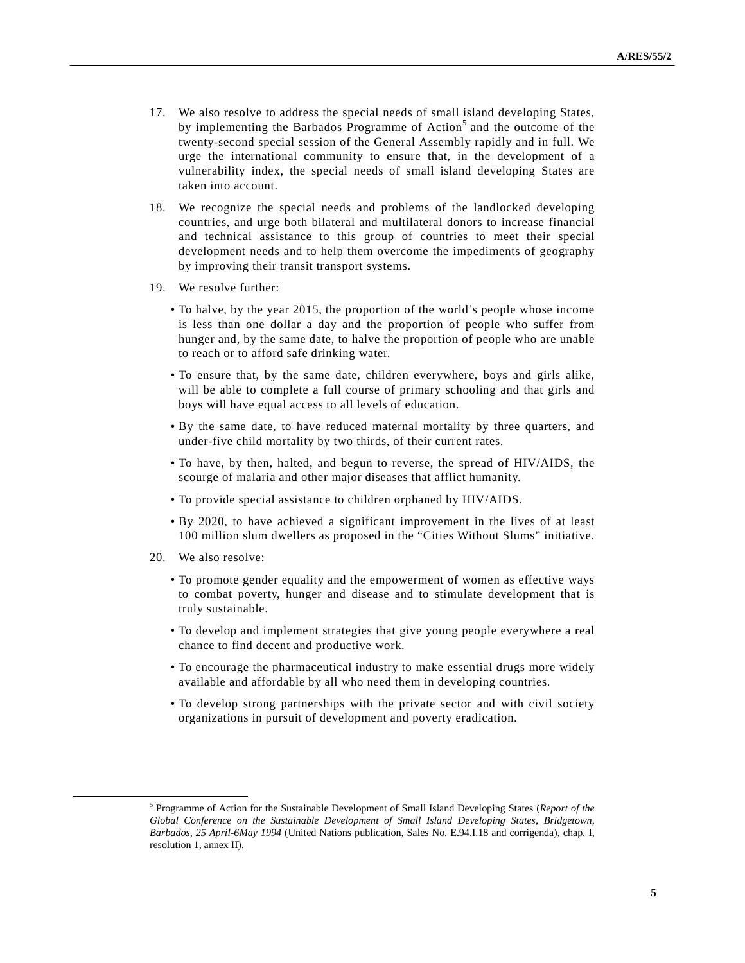- 17. We also resolve to address the special needs of small island developing States, by implementing the Barbados Programme of Action<sup>5</sup> and the outcome of the twenty-second special session of the General Assembly rapidly and in full. We urge the international community to ensure that, in the development of a vulnerability index, the special needs of small island developing States are taken into account.
- 18. We recognize the special needs and problems of the landlocked developing countries, and urge both bilateral and multilateral donors to increase financial and technical assistance to this group of countries to meet their special development needs and to help them overcome the impediments of geography by improving their transit transport systems.
- 19. We resolve further:
	- To halve, by the year 2015, the proportion of the world's people whose income is less than one dollar a day and the proportion of people who suffer from hunger and, by the same date, to halve the proportion of people who are unable to reach or to afford safe drinking water.
	- To ensure that, by the same date, children everywhere, boys and girls alike, will be able to complete a full course of primary schooling and that girls and boys will have equal access to all levels of education.
	- By the same date, to have reduced maternal mortality by three quarters, and under-five child mortality by two thirds, of their current rates.
	- To have, by then, halted, and begun to reverse, the spread of HIV/AIDS, the scourge of malaria and other major diseases that afflict humanity.
	- To provide special assistance to children orphaned by HIV/AIDS.
	- By 2020, to have achieved a significant improvement in the lives of at least 100 million slum dwellers as proposed in the "Cities Without Slums" initiative.
- 20. We also resolve:
	- To promote gender equality and the empowerment of women as effective ways to combat poverty, hunger and disease and to stimulate development that is truly sustainable.
	- To develop and implement strategies that give young people everywhere a real chance to find decent and productive work.
	- To encourage the pharmaceutical industry to make essential drugs more widely available and affordable by all who need them in developing countries.
	- To develop strong partnerships with the private sector and with civil society organizations in pursuit of development and poverty eradication.

 $\frac{1}{5}$ <sup>5</sup> Programme of Action for the Sustainable Development of Small Island Developing States (*Report of the Global Conference on the Sustainable Development of Small Island Developing States, Bridgetown, Barbados, 25 April-6May 1994* (United Nations publication, Sales No. E.94.I.18 and corrigenda), chap. I, resolution 1, annex II).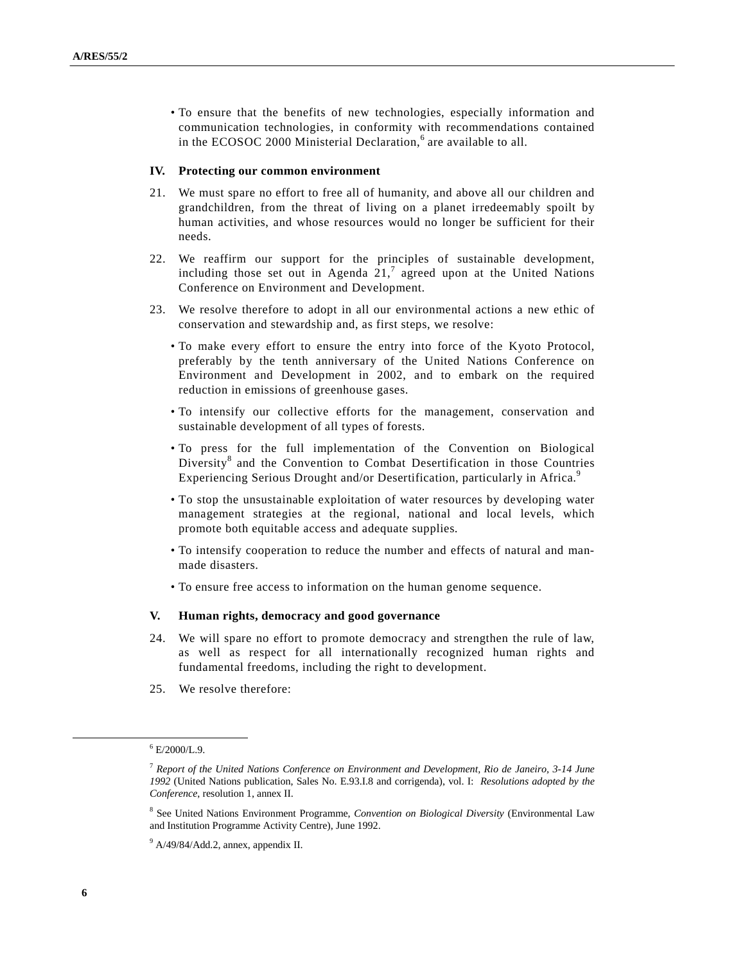• To ensure that the benefits of new technologies, especially information and communication technologies, in conformity with recommendations contained in the ECOSOC 2000 Ministerial Declaration,<sup>6</sup> are available to all.

#### **IV. Protecting our common environment**

- 21. We must spare no effort to free all of humanity, and above all our children and grandchildren, from the threat of living on a planet irredeemably spoilt by human activities, and whose resources would no longer be sufficient for their needs.
- 22. We reaffirm our support for the principles of sustainable development, including those set out in Agenda  $21<sup>7</sup>$  agreed upon at the United Nations Conference on Environment and Development.
- 23. We resolve therefore to adopt in all our environmental actions a new ethic of conservation and stewardship and, as first steps, we resolve:
	- To make every effort to ensure the entry into force of the Kyoto Protocol, preferably by the tenth anniversary of the United Nations Conference on Environment and Development in 2002, and to embark on the required reduction in emissions of greenhouse gases.
	- To intensify our collective efforts for the management, conservation and sustainable development of all types of forests.
	- To press for the full implementation of the Convention on Biological Diversity<sup>8</sup> and the Convention to Combat Desertification in those Countries Experiencing Serious Drought and/or Desertification, particularly in Africa.<sup>9</sup>
	- To stop the unsustainable exploitation of water resources by developing water management strategies at the regional, national and local levels, which promote both equitable access and adequate supplies.
	- To intensify cooperation to reduce the number and effects of natural and manmade disasters.
	- To ensure free access to information on the human genome sequence.

## **V. Human rights, democracy and good governance**

- 24. We will spare no effort to promote democracy and strengthen the rule of law, as well as respect for all internationally recognized human rights and fundamental freedoms, including the right to development.
- 25. We resolve therefore:

 $\overline{\phantom{a}}$  $6$  E/2000/L.9.

<sup>7</sup> *Report of the United Nations Conference on Environment and Development, Rio de Janeiro, 3-14 June 1992* (United Nations publication, Sales No. E.93.I.8 and corrigenda), vol. I: *Resolutions adopted by the Conference*, resolution 1, annex II.

<sup>8</sup> See United Nations Environment Programme, *Convention on Biological Diversity* (Environmental Law and Institution Programme Activity Centre), June 1992.

 $9$  A/49/84/Add.2, annex, appendix II.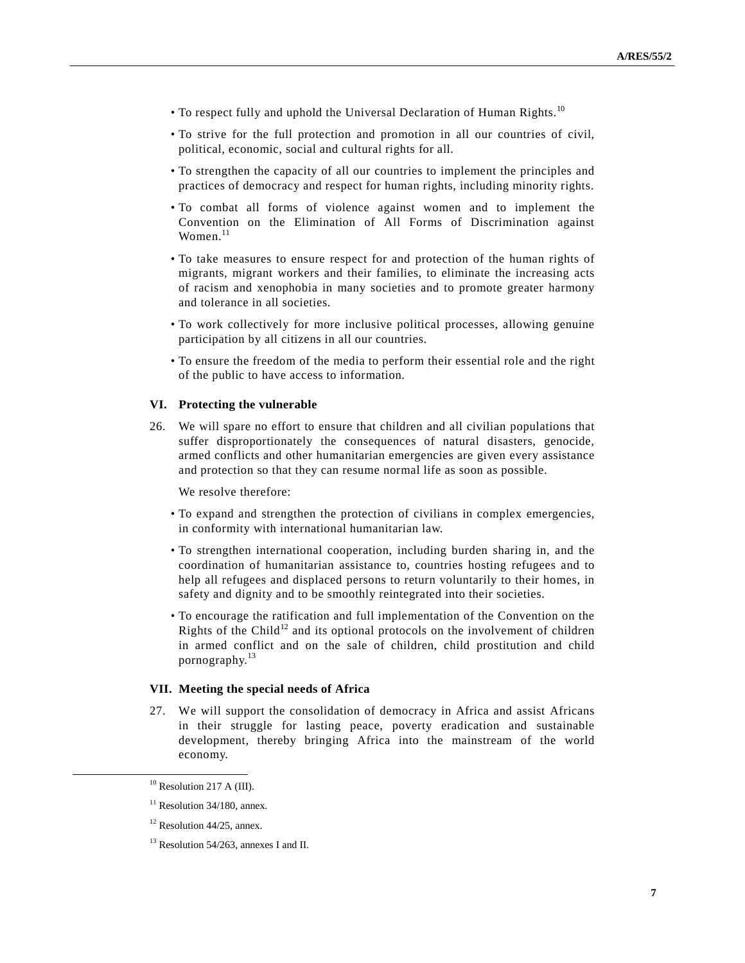- To respect fully and uphold the Universal Declaration of Human Rights.<sup>10</sup>
- To strive for the full protection and promotion in all our countries of civil, political, economic, social and cultural rights for all.
- To strengthen the capacity of all our countries to implement the principles and practices of democracy and respect for human rights, including minority rights.
- To combat all forms of violence against women and to implement the Convention on the Elimination of All Forms of Discrimination against  $Women.<sup>11</sup>$
- To take measures to ensure respect for and protection of the human rights of migrants, migrant workers and their families, to eliminate the increasing acts of racism and xenophobia in many societies and to promote greater harmony and tolerance in all societies.
- To work collectively for more inclusive political processes, allowing genuine participation by all citizens in all our countries.
- To ensure the freedom of the media to perform their essential role and the right of the public to have access to information.

## **VI. Protecting the vulnerable**

26. We will spare no effort to ensure that children and all civilian populations that suffer disproportionately the consequences of natural disasters, genocide, armed conflicts and other humanitarian emergencies are given every assistance and protection so that they can resume normal life as soon as possible.

We resolve therefore:

- To expand and strengthen the protection of civilians in complex emergencies, in conformity with international humanitarian law.
- To strengthen international cooperation, including burden sharing in, and the coordination of humanitarian assistance to, countries hosting refugees and to help all refugees and displaced persons to return voluntarily to their homes, in safety and dignity and to be smoothly reintegrated into their societies.
- To encourage the ratification and full implementation of the Convention on the Rights of the Child<sup>12</sup> and its optional protocols on the involvement of children in armed conflict and on the sale of children, child prostitution and child pornography.<sup>13</sup>

## **VII. Meeting the special needs of Africa**

27. We will support the consolidation of democracy in Africa and assist Africans in their struggle for lasting peace, poverty eradication and sustainable development, thereby bringing Africa into the mainstream of the world economy.

 $10$  Resolution 217 A (III).

 $11$  Resolution 34/180, annex.

 $12$  Resolution 44/25, annex.

<sup>&</sup>lt;sup>13</sup> Resolution 54/263, annexes I and II.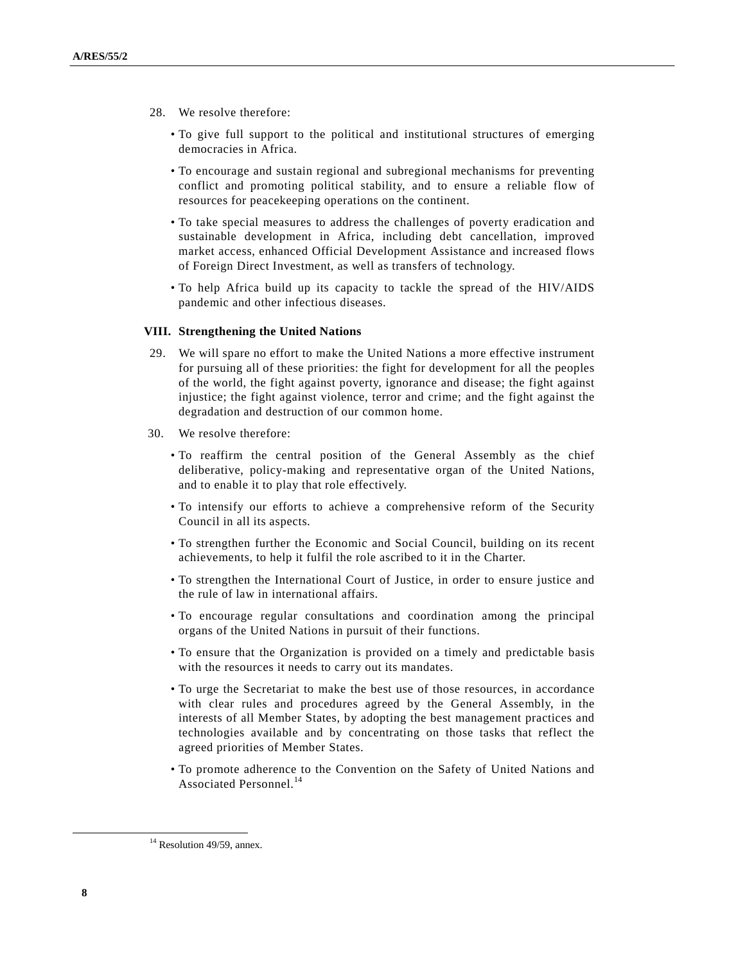- 28. We resolve therefore:
	- To give full support to the political and institutional structures of emerging democracies in Africa.
	- To encourage and sustain regional and subregional mechanisms for preventing conflict and promoting political stability, and to ensure a reliable flow of resources for peacekeeping operations on the continent.
	- To take special measures to address the challenges of poverty eradication and sustainable development in Africa, including debt cancellation, improved market access, enhanced Official Development Assistance and increased flows of Foreign Direct Investment, as well as transfers of technology.
	- To help Africa build up its capacity to tackle the spread of the HIV/AIDS pandemic and other infectious diseases.

#### **VIII. Strengthening the United Nations**

- 29. We will spare no effort to make the United Nations a more effective instrument for pursuing all of these priorities: the fight for development for all the peoples of the world, the fight against poverty, ignorance and disease; the fight against injustice; the fight against violence, terror and crime; and the fight against the degradation and destruction of our common home.
- 30. We resolve therefore:
	- To reaffirm the central position of the General Assembly as the chief deliberative, policy-making and representative organ of the United Nations, and to enable it to play that role effectively.
	- To intensify our efforts to achieve a comprehensive reform of the Security Council in all its aspects.
	- To strengthen further the Economic and Social Council, building on its recent achievements, to help it fulfil the role ascribed to it in the Charter.
	- To strengthen the International Court of Justice, in order to ensure justice and the rule of law in international affairs.
	- To encourage regular consultations and coordination among the principal organs of the United Nations in pursuit of their functions.
	- To ensure that the Organization is provided on a timely and predictable basis with the resources it needs to carry out its mandates.
	- To urge the Secretariat to make the best use of those resources, in accordance with clear rules and procedures agreed by the General Assembly, in the interests of all Member States, by adopting the best management practices and technologies available and by concentrating on those tasks that reflect the agreed priorities of Member States.
	- To promote adherence to the Convention on the Safety of United Nations and Associated Personnel.<sup>14</sup>

<sup>&</sup>lt;sup>14</sup> Resolution 49/59, annex.